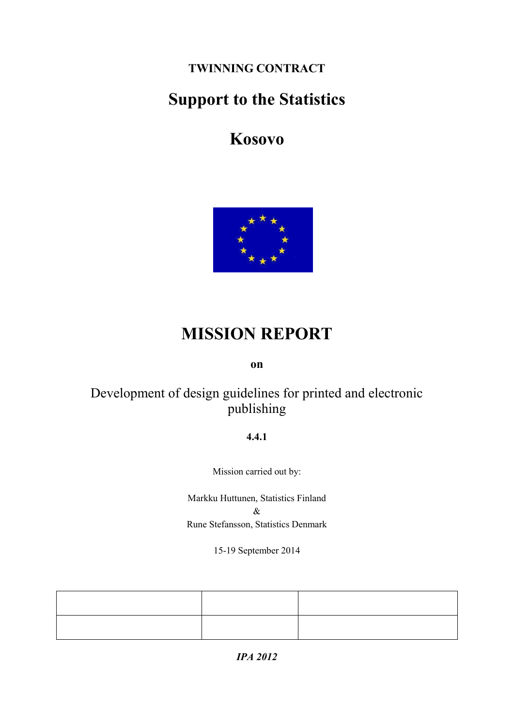**TWINNING CONTRACT**

# **Support to the Statistics**

# **Kosovo**



# **MISSION REPORT**

## **on**

# Development of design guidelines for printed and electronic publishing

### **4.4.1**

Mission carried out by:

Markku Huttunen, Statistics Finland  $\&$ Rune Stefansson, Statistics Denmark

15-19 September 2014

*IPA 2012*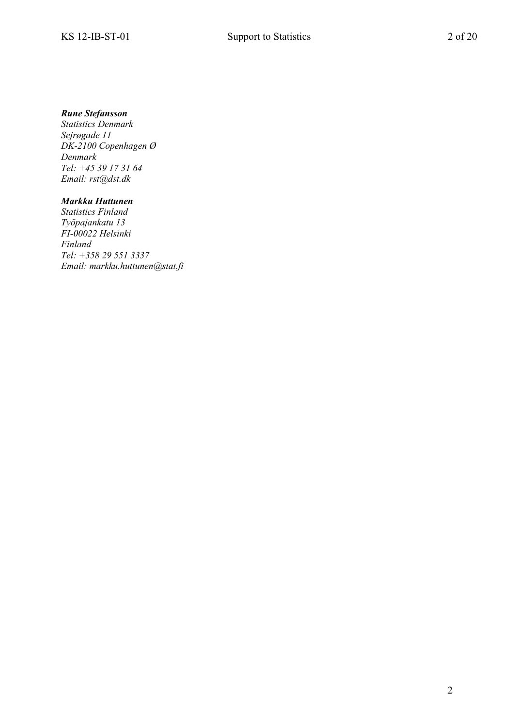#### *Rune Stefansson*

*Statistics Denmark Sejrøgade 11 DK-2100 Copenhagen Ø Denmark Tel: +45 39 17 31 64 Email: rst@dst.dk*

#### *Markku Huttunen*

*Statistics Finland Työpajankatu 13 FI-00022 Helsinki Finland Tel: +358 29 551 3337 Email: markku.huttunen@stat.fi*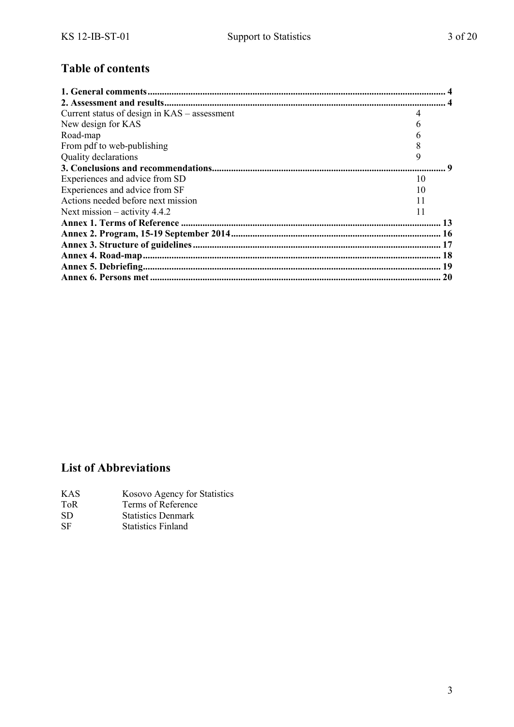## **Table of contents**

| Current status of design in $KAS -$ assessment |    |
|------------------------------------------------|----|
| New design for KAS                             |    |
| Road-map                                       |    |
| From pdf to web-publishing                     |    |
| Quality declarations                           | 9  |
|                                                |    |
| Experiences and advice from SD                 | 10 |
| Experiences and advice from SF                 | 10 |
| Actions needed before next mission             | 11 |
| Next mission $-$ activity 4.4.2                | 11 |
|                                                |    |
|                                                |    |
|                                                |    |
|                                                |    |
|                                                |    |
|                                                |    |

## **List of Abbreviations**

- KAS Kosovo Agency for Statistics<br>ToR Terms of Reference
- ToR Terms of Reference<br>SD Statistics Denmark
- SD Statistics Denmark<br>SF Statistics Finland
- **Statistics Finland**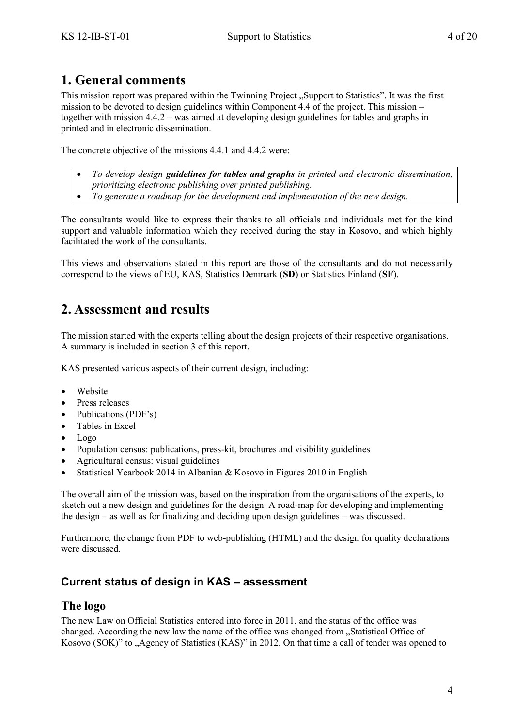## <span id="page-3-0"></span>**1. General comments**

This mission report was prepared within the Twinning Project "Support to Statistics". It was the first mission to be devoted to design guidelines within Component 4.4 of the project. This mission – together with mission 4.4.2 – was aimed at developing design guidelines for tables and graphs in printed and in electronic dissemination.

The concrete objective of the missions 4.4.1 and 4.4.2 were:

- *To develop design guidelines for tables and graphs in printed and electronic dissemination,*
- *prioritizing electronic publishing over printed publishing.*
- *To generate a roadmap for the development and implementation of the new design.*

The consultants would like to express their thanks to all officials and individuals met for the kind support and valuable information which they received during the stay in Kosovo, and which highly facilitated the work of the consultants.

This views and observations stated in this report are those of the consultants and do not necessarily correspond to the views of EU, KAS, Statistics Denmark (**SD**) or Statistics Finland (**SF**).

# <span id="page-3-1"></span>**2. Assessment and results**

The mission started with the experts telling about the design projects of their respective organisations. A summary is included in section 3 of this report.

KAS presented various aspects of their current design, including:

- Website
- Press releases
- Publications (PDF's)
- Tables in Excel
- Logo
- Population census: publications, press-kit, brochures and visibility guidelines
- Agricultural census: visual guidelines
- Statistical Yearbook 2014 in Albanian & Kosovo in Figures 2010 in English

The overall aim of the mission was, based on the inspiration from the organisations of the experts, to sketch out a new design and guidelines for the design. A road-map for developing and implementing the design – as well as for finalizing and deciding upon design guidelines – was discussed.

Furthermore, the change from PDF to web-publishing (HTML) and the design for quality declarations were discussed.

## <span id="page-3-2"></span>**Current status of design in KAS – assessment**

## **The logo**

The new Law on Official Statistics entered into force in 2011, and the status of the office was changed. According the new law the name of the office was changed from "Statistical Office of Kosovo (SOK)" to "Agency of Statistics (KAS)" in 2012. On that time a call of tender was opened to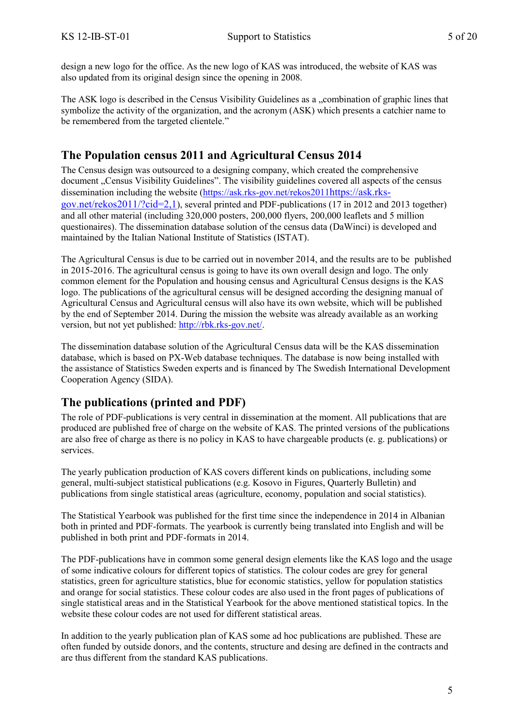design a new logo for the office. As the new logo of KAS was introduced, the website of KAS was also updated from its original design since the opening in 2008.

The ASK logo is described in the Census Visibility Guidelines as a ...combination of graphic lines that symbolize the activity of the organization, and the acronym (ASK) which presents a catchier name to be remembered from the targeted clientele."

## **The Population census 2011 and Agricultural Census 2014**

The Census design was outsourced to a designing company, which created the comprehensive document "Census Visibility Guidelines". The visibility guidelines covered all aspects of the census dissemination including the website [\(https://ask.rks-gov.net/rekos2011](https://ask.rks-gov.net/rekos2011)[https://ask.rks](https://ask.rks-gov.net/rekos2011)[gov.net/rekos2011/?cid=2,1](https://ask.rks-gov.net/rekos2011/?cid=2,1)), several printed and PDF-publications (17 in 2012 and 2013 together) and all other material (including 320,000 posters, 200,000 flyers, 200,000 leaflets and 5 million questionaires). The dissemination database solution of the census data (DaWinci) is developed and maintained by the Italian National Institute of Statistics (ISTAT).

The Agricultural Census is due to be carried out in november 2014, and the results are to be published in 2015-2016. The agricultural census is going to have its own overall design and logo. The only common element for the Population and housing census and Agricultural Census designs is the KAS logo. The publications of the agricultural census will be designed according the designing manual of Agricultural Census and Agricultural census will also have its own website, which will be published by the end of September 2014. During the mission the website was already available as an working version, but not yet published: [http://rbk.rks-gov.net/.](http://rbk.rks-gov.net/)

The dissemination database solution of the Agricultural Census data will be the KAS dissemination database, which is based on PX-Web database techniques. The database is now being installed with the assistance of Statistics Sweden experts and is financed by The Swedish International Development Cooperation Agency (SIDA).

## **The publications (printed and PDF)**

The role of PDF-publications is very central in dissemination at the moment. All publications that are produced are published free of charge on the website of KAS. The printed versions of the publications are also free of charge as there is no policy in KAS to have chargeable products (e. g. publications) or services.

The yearly publication production of KAS covers different kinds on publications, including some general, multi-subject statistical publications (e.g. Kosovo in Figures, Quarterly Bulletin) and publications from single statistical areas (agriculture, economy, population and social statistics).

The Statistical Yearbook was published for the first time since the independence in 2014 in Albanian both in printed and PDF-formats. The yearbook is currently being translated into English and will be published in both print and PDF-formats in 2014.

The PDF-publications have in common some general design elements like the KAS logo and the usage of some indicative colours for different topics of statistics. The colour codes are grey for general statistics, green for agriculture statistics, blue for economic statistics, yellow for population statistics and orange for social statistics. These colour codes are also used in the front pages of publications of single statistical areas and in the Statistical Yearbook for the above mentioned statistical topics. In the website these colour codes are not used for different statistical areas.

In addition to the yearly publication plan of KAS some ad hoc publications are published. These are often funded by outside donors, and the contents, structure and desing are defined in the contracts and are thus different from the standard KAS publications.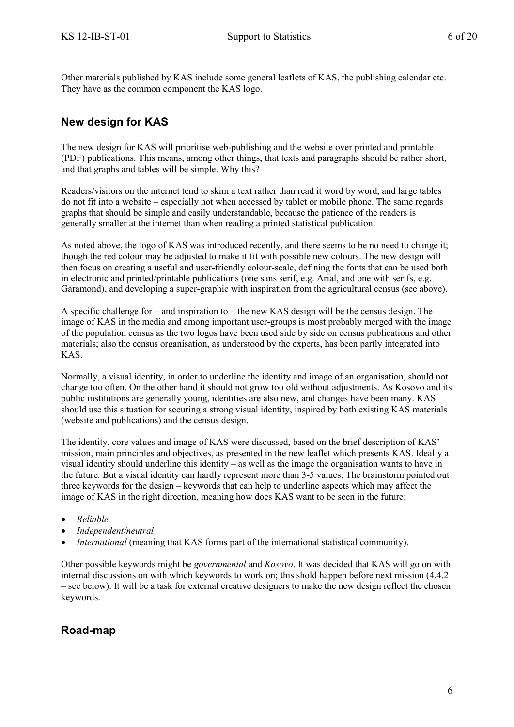Other materials published by KAS include some general leaflets of KAS, the publishing calendar etc. They have as the common component the KAS logo.

## <span id="page-5-0"></span>**New design for KAS**

The new design for KAS will prioritise web-publishing and the website over printed and printable (PDF) publications. This means, among other things, that texts and paragraphs should be rather short, and that graphs and tables will be simple. Why this?

Readers/visitors on the internet tend to skim a text rather than read it word by word, and large tables do not fit into a website – especially not when accessed by tablet or mobile phone. The same regards graphs that should be simple and easily understandable, because the patience of the readers is generally smaller at the internet than when reading a printed statistical publication.

As noted above, the logo of KAS was introduced recently, and there seems to be no need to change it; though the red colour may be adjusted to make it fit with possible new colours. The new design will then focus on creating a useful and user-friendly colour-scale, defining the fonts that can be used both in electronic and printed/printable publications (one sans serif, e.g. Arial, and one with serifs, e.g. Garamond), and developing a super-graphic with inspiration from the agricultural census (see above).

A specific challenge for – and inspiration to – the new KAS design will be the census design. The image of KAS in the media and among important user-groups is most probably merged with the image of the population census as the two logos have been used side by side on census publications and other materials; also the census organisation, as understood by the experts, has been partly integrated into KAS.

Normally, a visual identity, in order to underline the identity and image of an organisation, should not change too often. On the other hand it should not grow too old without adjustments. As Kosovo and its public institutions are generally young, identities are also new, and changes have been many. KAS should use this situation for securing a strong visual identity, inspired by both existing KAS materials (website and publications) and the census design.

The identity, core values and image of KAS were discussed, based on the brief description of KAS' mission, main principles and objectives, as presented in the new leaflet which presents KAS. Ideally a visual identity should underline this identity – as well as the image the organisation wants to have in the future. But a visual identity can hardly represent more than 3-5 values. The brainstorm pointed out three keywords for the design – keywords that can help to underline aspects which may affect the image of KAS in the right direction, meaning how does KAS want to be seen in the future:

- *Reliable*
- *Independent/neutral*
- *International* (meaning that KAS forms part of the international statistical community).

Other possible keywords might be *governmental* and *Kosovo*. It was decided that KAS will go on with internal discussions on with which keywords to work on; this shold happen before next mission (4.4.2 – see below). It will be a task for external creative designers to make the new design reflect the chosen keywords.

## <span id="page-5-1"></span>**Road-map**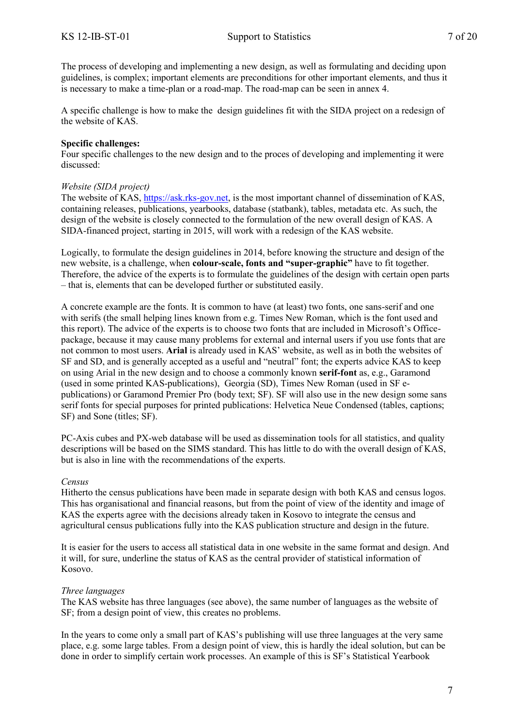The process of developing and implementing a new design, as well as formulating and deciding upon guidelines, is complex; important elements are preconditions for other important elements, and thus it is necessary to make a time-plan or a road-map. The road-map can be seen in annex 4.

A specific challenge is how to make the design guidelines fit with the SIDA project on a redesign of the website of KAS.

#### **Specific challenges:**

Four specific challenges to the new design and to the proces of developing and implementing it were discussed:

#### *Website (SIDA project)*

The website of KAS, [https://ask.rks-gov.net,](https://ask.rks-gov.net/) is the most important channel of dissemination of KAS, containing releases, publications, yearbooks, database (statbank), tables, metadata etc. As such, the design of the website is closely connected to the formulation of the new overall design of KAS. A SIDA-financed project, starting in 2015, will work with a redesign of the KAS website.

Logically, to formulate the design guidelines in 2014, before knowing the structure and design of the new website, is a challenge, when **colour-scale, fonts and "super-graphic"** have to fit together. Therefore, the advice of the experts is to formulate the guidelines of the design with certain open parts – that is, elements that can be developed further or substituted easily.

A concrete example are the fonts. It is common to have (at least) two fonts, one sans-serif and one with serifs (the small helping lines known from e.g. Times New Roman, which is the font used and this report). The advice of the experts is to choose two fonts that are included in Microsoft's Officepackage, because it may cause many problems for external and internal users if you use fonts that are not common to most users. **Arial** is already used in KAS' website, as well as in both the websites of SF and SD, and is generally accepted as a useful and "neutral" font; the experts advice KAS to keep on using Arial in the new design and to choose a commonly known **serif-font** as, e.g., Garamond (used in some printed KAS-publications), Georgia (SD), Times New Roman (used in SF epublications) or Garamond Premier Pro (body text; SF). SF will also use in the new design some sans serif fonts for special purposes for printed publications: Helvetica Neue Condensed (tables, captions; SF) and Sone (titles; SF).

PC-Axis cubes and PX-web database will be used as dissemination tools for all statistics, and quality descriptions will be based on the SIMS standard. This has little to do with the overall design of KAS, but is also in line with the recommendations of the experts.

#### *Census*

Hitherto the census publications have been made in separate design with both KAS and census logos. This has organisational and financial reasons, but from the point of view of the identity and image of KAS the experts agree with the decisions already taken in Kosovo to integrate the census and agricultural census publications fully into the KAS publication structure and design in the future.

It is easier for the users to access all statistical data in one website in the same format and design. And it will, for sure, underline the status of KAS as the central provider of statistical information of Kosovo.

#### *Three languages*

The KAS website has three languages (see above), the same number of languages as the website of SF; from a design point of view, this creates no problems.

In the years to come only a small part of KAS's publishing will use three languages at the very same place, e.g. some large tables. From a design point of view, this is hardly the ideal solution, but can be done in order to simplify certain work processes. An example of this is SF's Statistical Yearbook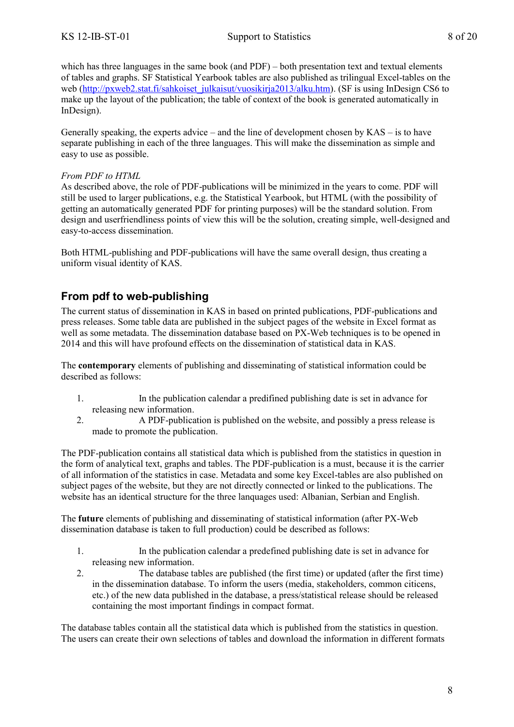which has three languages in the same book (and PDF) – both presentation text and textual elements of tables and graphs. SF Statistical Yearbook tables are also published as trilingual Excel-tables on the web [\(http://pxweb2.stat.fi/sahkoiset\\_julkaisut/vuosikirja2013/alku.htm\)](http://pxweb2.stat.fi/sahkoiset_julkaisut/vuosikirja2013/alku.htm). (SF is using InDesign CS6 to make up the layout of the publication; the table of context of the book is generated automatically in InDesign).

Generally speaking, the experts advice – and the line of development chosen by  $KAS -$  is to have separate publishing in each of the three languages. This will make the dissemination as simple and easy to use as possible.

#### *From PDF to HTML*

As described above, the role of PDF-publications will be minimized in the years to come. PDF will still be used to larger publications, e.g. the Statistical Yearbook, but HTML (with the possibility of getting an automatically generated PDF for printing purposes) will be the standard solution. From design and userfriendliness points of view this will be the solution, creating simple, well-designed and easy-to-access dissemination.

Both HTML-publishing and PDF-publications will have the same overall design, thus creating a uniform visual identity of KAS.

### <span id="page-7-0"></span>**From pdf to web-publishing**

The current status of dissemination in KAS in based on printed publications, PDF-publications and press releases. Some table data are published in the subject pages of the website in Excel format as well as some metadata. The dissemination database based on PX-Web techniques is to be opened in 2014 and this will have profound effects on the dissemination of statistical data in KAS.

The **contemporary** elements of publishing and disseminating of statistical information could be described as follows:

- 1. In the publication calendar a predifined publishing date is set in advance for releasing new information.
- 2. A PDF-publication is published on the website, and possibly a press release is made to promote the publication.

The PDF-publication contains all statistical data which is published from the statistics in question in the form of analytical text, graphs and tables. The PDF-publication is a must, because it is the carrier of all information of the statistics in case. Metadata and some key Excel-tables are also published on subject pages of the website, but they are not directly connected or linked to the publications. The website has an identical structure for the three lanquages used: Albanian, Serbian and English.

The **future** elements of publishing and disseminating of statistical information (after PX-Web dissemination database is taken to full production) could be described as follows:

- 1. In the publication calendar a predefined publishing date is set in advance for releasing new information.
- 2. The database tables are published (the first time) or updated (after the first time) in the dissemination database. To inform the users (media, stakeholders, common citicens, etc.) of the new data published in the database, a press/statistical release should be released containing the most important findings in compact format.

The database tables contain all the statistical data which is published from the statistics in question. The users can create their own selections of tables and download the information in different formats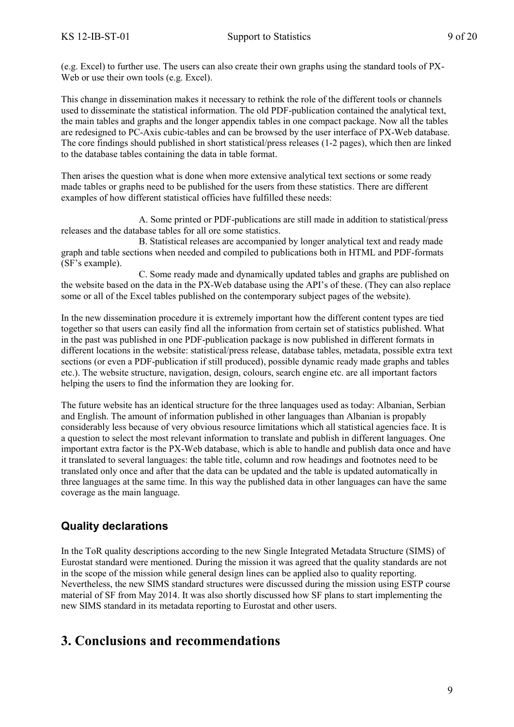(e.g. Excel) to further use. The users can also create their own graphs using the standard tools of PX-Web or use their own tools (e.g. Excel).

This change in dissemination makes it necessary to rethink the role of the different tools or channels used to disseminate the statistical information. The old PDF-publication contained the analytical text, the main tables and graphs and the longer appendix tables in one compact package. Now all the tables are redesigned to PC-Axis cubic-tables and can be browsed by the user interface of PX-Web database. The core findings should published in short statistical/press releases (1-2 pages), which then are linked to the database tables containing the data in table format.

Then arises the question what is done when more extensive analytical text sections or some ready made tables or graphs need to be published for the users from these statistics. There are different examples of how different statistical officies have fulfilled these needs:

A. Some printed or PDF-publications are still made in addition to statistical/press releases and the database tables for all ore some statistics.

B. Statistical releases are accompanied by longer analytical text and ready made graph and table sections when needed and compiled to publications both in HTML and PDF-formats (SF's example).

C. Some ready made and dynamically updated tables and graphs are published on the website based on the data in the PX-Web database using the API's of these. (They can also replace some or all of the Excel tables published on the contemporary subject pages of the website).

In the new dissemination procedure it is extremely important how the different content types are tied together so that users can easily find all the information from certain set of statistics published. What in the past was published in one PDF-publication package is now published in different formats in different locations in the website: statistical/press release, database tables, metadata, possible extra text sections (or even a PDF-publication if still produced), possible dynamic ready made graphs and tables etc.). The website structure, navigation, design, colours, search engine etc. are all important factors helping the users to find the information they are looking for.

The future website has an identical structure for the three lanquages used as today: Albanian, Serbian and English. The amount of information published in other languages than Albanian is propably considerably less because of very obvious resource limitations which all statistical agencies face. It is a question to select the most relevant information to translate and publish in different languages. One important extra factor is the PX-Web database, which is able to handle and publish data once and have it translated to several languages: the table title, column and row headings and footnotes need to be translated only once and after that the data can be updated and the table is updated automatically in three languages at the same time. In this way the published data in other languages can have the same coverage as the main language.

## <span id="page-8-0"></span>**Quality declarations**

In the ToR quality descriptions according to the new Single Integrated Metadata Structure (SIMS) of Eurostat standard were mentioned. During the mission it was agreed that the quality standards are not in the scope of the mission while general design lines can be applied also to quality reporting. Nevertheless, the new SIMS standard structures were discussed during the mission using ESTP course material of SF from May 2014. It was also shortly discussed how SF plans to start implementing the new SIMS standard in its metadata reporting to Eurostat and other users.

## <span id="page-8-1"></span>**3. Conclusions and recommendations**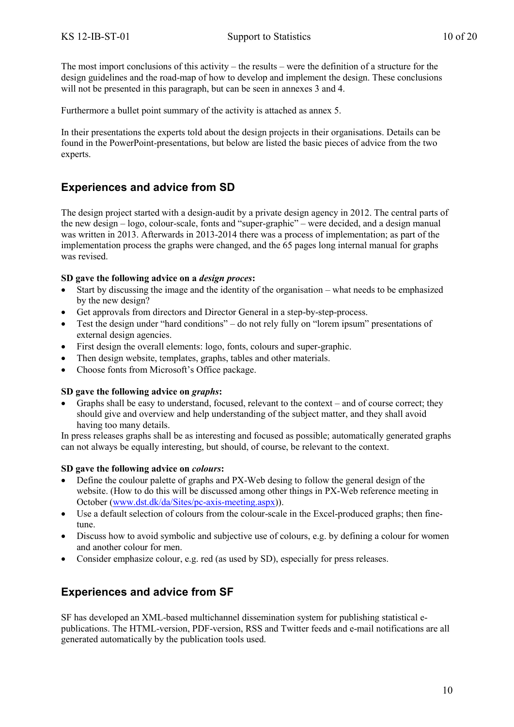The most import conclusions of this activity – the results – were the definition of a structure for the design guidelines and the road-map of how to develop and implement the design. These conclusions will not be presented in this paragraph, but can be seen in annexes 3 and 4.

Furthermore a bullet point summary of the activity is attached as annex 5.

In their presentations the experts told about the design projects in their organisations. Details can be found in the PowerPoint-presentations, but below are listed the basic pieces of advice from the two experts.

### <span id="page-9-0"></span>**Experiences and advice from SD**

The design project started with a design-audit by a private design agency in 2012. The central parts of the new design – logo, colour-scale, fonts and "super-graphic" – were decided, and a design manual was written in 2013. Afterwards in 2013-2014 there was a process of implementation; as part of the implementation process the graphs were changed, and the 65 pages long internal manual for graphs was revised.

#### **SD gave the following advice on a** *design proces***:**

- Start by discussing the image and the identity of the organisation what needs to be emphasized by the new design?
- Get approvals from directors and Director General in a step-by-step-process.
- Test the design under "hard conditions" do not rely fully on "lorem ipsum" presentations of external design agencies.
- First design the overall elements: logo, fonts, colours and super-graphic.
- Then design website, templates, graphs, tables and other materials.
- Choose fonts from Microsoft's Office package.

#### **SD gave the following advice on** *graphs***:**

 Graphs shall be easy to understand, focused, relevant to the context – and of course correct; they should give and overview and help understanding of the subject matter, and they shall avoid having too many details.

In press releases graphs shall be as interesting and focused as possible; automatically generated graphs can not always be equally interesting, but should, of course, be relevant to the context.

#### **SD gave the following advice on** *colours***:**

- Define the coulour palette of graphs and PX-Web desing to follow the general design of the website. (How to do this will be discussed among other things in PX-Web reference meeting in October [\(www.dst.dk/da/Sites/pc-axis-meeting.aspx\)](file:///C:/Users/rst/AppData/Local/Microsoft/Windows/Temporary%20Internet%20Files/Content.Outlook/2UMQ8SIZ/www.dst.dk/da/Sites/pc-axis-meeting.aspx)).
- Use a default selection of colours from the colour-scale in the Excel-produced graphs; then finetune.
- Discuss how to avoid symbolic and subjective use of colours, e.g. by defining a colour for women and another colour for men.
- Consider emphasize colour, e.g. red (as used by SD), especially for press releases.

## <span id="page-9-1"></span>**Experiences and advice from SF**

SF has developed an XML-based multichannel dissemination system for publishing statistical epublications. The HTML-version, PDF-version, RSS and Twitter feeds and e-mail notifications are all generated automatically by the publication tools used.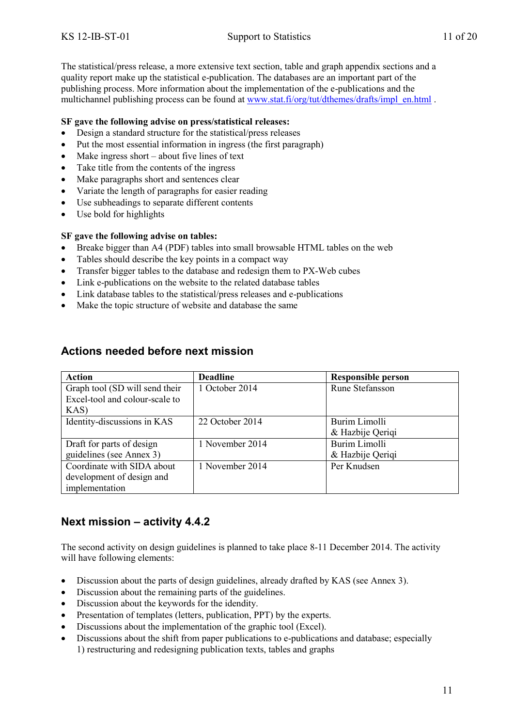The statistical/press release, a more extensive text section, table and graph appendix sections and a quality report make up the statistical e-publication. The databases are an important part of the publishing process. More information about the implementation of the e-publications and the multichannel publishing process can be found at [www.stat.fi/org/tut/dthemes/drafts/impl\\_en.html](http://www.stat.fi/org/tut/dthemes/drafts/impl_en.html) .

#### **SF gave the following advise on press/statistical releases:**

- Design a standard structure for the statistical/press releases
- Put the most essential information in ingress (the first paragraph)
- $\bullet$  Make ingress short about five lines of text
- Take title from the contents of the ingress
- Make paragraphs short and sentences clear
- Variate the length of paragraphs for easier reading
- Use subheadings to separate different contents
- Use bold for highlights

#### **SF gave the following advise on tables:**

- Breake bigger than A4 (PDF) tables into small browsable HTML tables on the web
- Tables should describe the key points in a compact way
- Transfer bigger tables to the database and redesign them to PX-Web cubes
- Link e-publications on the website to the related database tables
- Link database tables to the statistical/press releases and e-publications
- <span id="page-10-0"></span>• Make the topic structure of website and database the same

| <b>Action</b>                  | <b>Deadline</b> | <b>Responsible person</b> |
|--------------------------------|-----------------|---------------------------|
| Graph tool (SD will send their | 1 October 2014  | <b>Rune Stefansson</b>    |
| Excel-tool and colour-scale to |                 |                           |
| KAS)                           |                 |                           |
| Identity-discussions in KAS    | 22 October 2014 | Burim Limolli             |
|                                |                 | & Hazbije Qeriqi          |
| Draft for parts of design      | 1 November 2014 | Burim Limolli             |
| guidelines (see Annex 3)       |                 | & Hazbije Qeriqi          |
| Coordinate with SIDA about     | 1 November 2014 | Per Knudsen               |
| development of design and      |                 |                           |
| implementation                 |                 |                           |

### **Actions needed before next mission**

### <span id="page-10-1"></span>**Next mission – activity 4.4.2**

The second activity on design guidelines is planned to take place 8-11 December 2014. The activity will have following elements:

- Discussion about the parts of design guidelines, already drafted by KAS (see Annex 3).
- Discussion about the remaining parts of the guidelines.
- Discussion about the keywords for the idendity.
- Presentation of templates (letters, publication, PPT) by the experts.
- Discussions about the implementation of the graphic tool (Excel).
- Discussions about the shift from paper publications to e-publications and database; especially 1) restructuring and redesigning publication texts, tables and graphs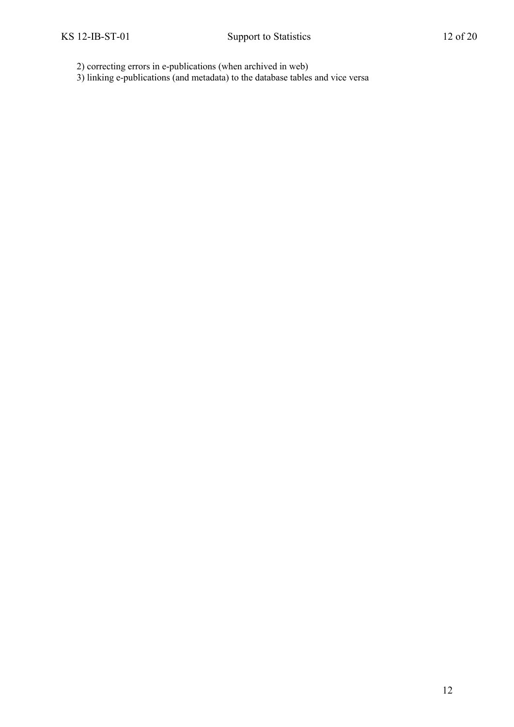2) correcting errors in e-publications (when archived in web)

3) linking e-publications (and metadata) to the database tables and vice versa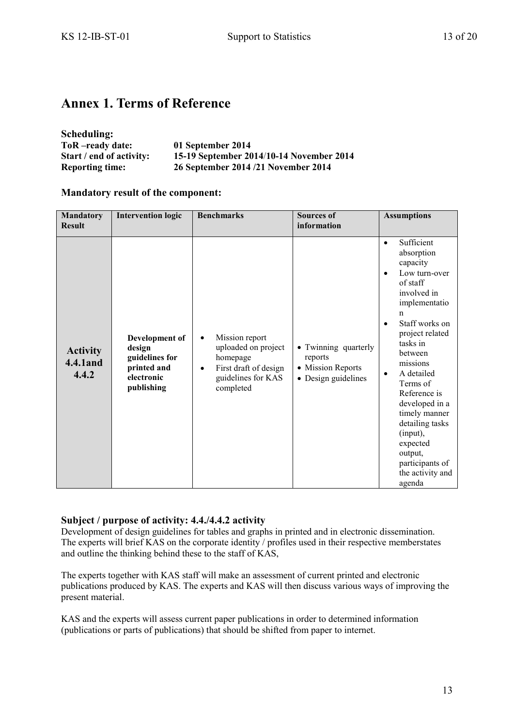# <span id="page-12-0"></span>**Annex 1. Terms of Reference**

| Scheduling:              |                                          |
|--------------------------|------------------------------------------|
| ToR-ready date:          | 01 September 2014                        |
| Start / end of activity: | 15-19 September 2014/10-14 November 2014 |
| <b>Reporting time:</b>   | 26 September 2014/21 November 2014       |

#### **Mandatory result of the component:**

| <b>Mandatory</b><br><b>Result</b>     | <b>Intervention logic</b>                                                             | <b>Benchmarks</b>                                                                                                                       | <b>Sources of</b><br>information                                            | <b>Assumptions</b>                                                                                                                                                                                                                                                                                                                                                                                             |
|---------------------------------------|---------------------------------------------------------------------------------------|-----------------------------------------------------------------------------------------------------------------------------------------|-----------------------------------------------------------------------------|----------------------------------------------------------------------------------------------------------------------------------------------------------------------------------------------------------------------------------------------------------------------------------------------------------------------------------------------------------------------------------------------------------------|
| <b>Activity</b><br>4.4.1 and<br>4.4.2 | Development of<br>design<br>guidelines for<br>printed and<br>electronic<br>publishing | Mission report<br>$\bullet$<br>uploaded on project<br>homepage<br>First draft of design<br>$\bullet$<br>guidelines for KAS<br>completed | • Twinning quarterly<br>reports<br>• Mission Reports<br>• Design guidelines | Sufficient<br>$\bullet$<br>absorption<br>capacity<br>Low turn-over<br>٠<br>of staff<br>involved in<br>implementatio<br>n<br>Staff works on<br>$\bullet$<br>project related<br>tasks in<br>between<br>missions<br>A detailed<br>$\bullet$<br>Terms of<br>Reference is<br>developed in a<br>timely manner<br>detailing tasks<br>(input),<br>expected<br>output,<br>participants of<br>the activity and<br>agenda |

#### **Subject / purpose of activity: 4.4./4.4.2 activity**

Development of design guidelines for tables and graphs in printed and in electronic dissemination. The experts will brief KAS on the corporate identity / profiles used in their respective memberstates and outline the thinking behind these to the staff of KAS,

The experts together with KAS staff will make an assessment of current printed and electronic publications produced by KAS. The experts and KAS will then discuss various ways of improving the present material.

KAS and the experts will assess current paper publications in order to determined information (publications or parts of publications) that should be shifted from paper to internet.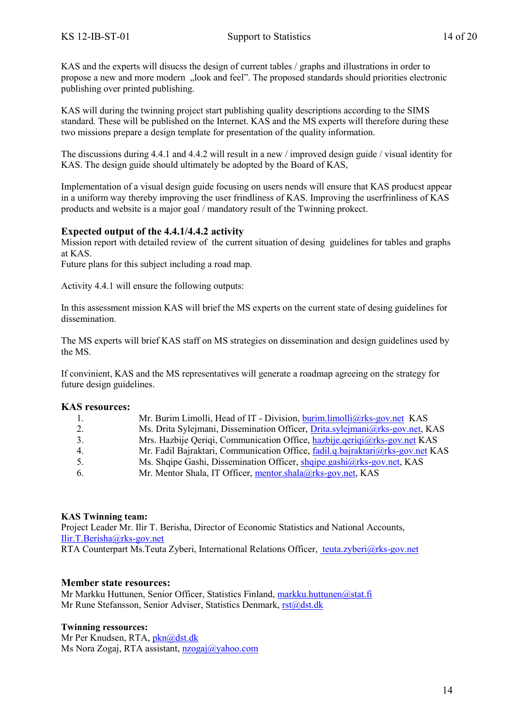KAS and the experts will disucss the design of current tables / graphs and illustrations in order to propose a new and more modern "look and feel". The proposed standards should priorities electronic publishing over printed publishing.

KAS will during the twinning project start publishing quality descriptions according to the SIMS standard. These will be published on the Internet. KAS and the MS experts will therefore during these two missions prepare a design template for presentation of the quality information.

The discussions during 4.4.1 and 4.4.2 will result in a new / improved design guide / visual identity for KAS. The design guide should ultimately be adopted by the Board of KAS,

Implementation of a visual design guide focusing on users nends will ensure that KAS producst appear in a uniform way thereby improving the user frindliness of KAS. Improving the userfrinliness of KAS products and website is a major goal / mandatory result of the Twinning prokect.

#### **Expected output of the 4.4.1/4.4.2 activity**

Mission report with detailed review of the current situation of desing guidelines for tables and graphs at KAS.

Future plans for this subject including a road map.

Activity 4.4.1 will ensure the following outputs:

In this assessment mission KAS will brief the MS experts on the current state of desing guidelines for dissemination.

The MS experts will brief KAS staff on MS strategies on dissemination and design guidelines used by the MS.

If convinient, KAS and the MS representatives will generate a roadmap agreeing on the strategy for future design guidelines.

#### **KAS resources:**

| $\overline{1}$ . | Mr. Burim Limolli, Head of IT - Division, burim.limolli@rks-gov.net KAS        |
|------------------|--------------------------------------------------------------------------------|
| 2.               | Ms. Drita Sylejmani, Dissemination Officer, Drita sylejmani@rks-gov.net, KAS   |
| 3.               | Mrs. Hazbije Qeriqi, Communication Office, hazbije.geriqi@rks-gov.net KAS      |
| 4.               | Mr. Fadil Bajraktari, Communication Office, fadil.q.bajraktari@rks-gov.net KAS |
| 5.               | Ms. Shqipe Gashi, Dissemination Officer, shqipe.gashi@rks-gov.net, KAS         |
| -6.              | Mr. Mentor Shala, IT Officer, mentor shala@rks-gov.net, KAS                    |

#### **KAS Twinning team:**

Project Leader Mr. Ilir T. Berisha, Director of Economic Statistics and National Accounts, [Ilir.T.Berisha@rks-gov.net](file:///C:/Users/Dstmove/AppData/Local/Microsoft/Windows/Temporary%20Internet%20Files/Content.IE5/Users/Dstmove/AppData/Local/Microsoft/Windows/Temporary%20Internet%20Files/Content.IE5/HIQMOBD5/Ilir.T.Berisha@rks-gov.net) RTA Counterpart Ms.Teuta Zyberi, International Relations Officer, [teuta.zyberi@rks-gov.net](mailto:%20teuta.zyberi@rks-gov.net)

#### **Member state resources:**

Mr Markku Huttunen, Senior Officer, Statistics Finland, [markku.huttunen@stat.fi](mailto:markku.huttunen@stat.fi) Mr Rune Stefansson, Senior Adviser, Statistics Denmark, [rst@dst.dk](mailto:rst@dst.dk)

#### **Twinning ressources:**

Mr Per Knudsen, RTA, [pkn@dst.dk](mailto:pkn@dst.dk) Ms Nora Zogaj, RTA assistant, [nzogaj@yahoo.com](mailto:nzogaj@yahoo.com)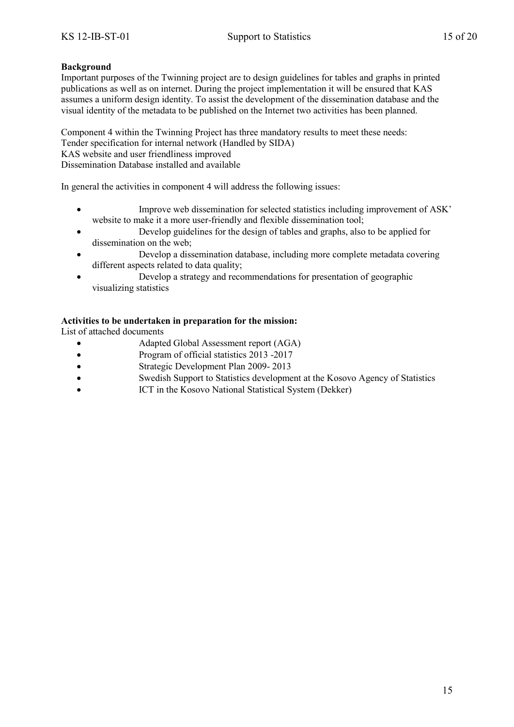#### **Background**

Important purposes of the Twinning project are to design guidelines for tables and graphs in printed publications as well as on internet. During the project implementation it will be ensured that KAS assumes a uniform design identity. To assist the development of the dissemination database and the visual identity of the metadata to be published on the Internet two activities has been planned.

Component 4 within the Twinning Project has three mandatory results to meet these needs: Tender specification for internal network (Handled by SIDA) KAS website and user friendliness improved Dissemination Database installed and available

In general the activities in component 4 will address the following issues:

- Improve web dissemination for selected statistics including improvement of ASK' website to make it a more user-friendly and flexible dissemination tool;
- Develop guidelines for the design of tables and graphs, also to be applied for dissemination on the web;
- Develop a dissemination database, including more complete metadata covering different aspects related to data quality;
- Develop a strategy and recommendations for presentation of geographic visualizing statistics

#### **Activities to be undertaken in preparation for the mission:**

List of attached documents

- Adapted Global Assessment report (AGA)
- Program of official statistics 2013 -2017
- Strategic Development Plan 2009- 2013
- Swedish Support to Statistics development at the Kosovo Agency of Statistics
- ICT in the Kosovo National Statistical System (Dekker)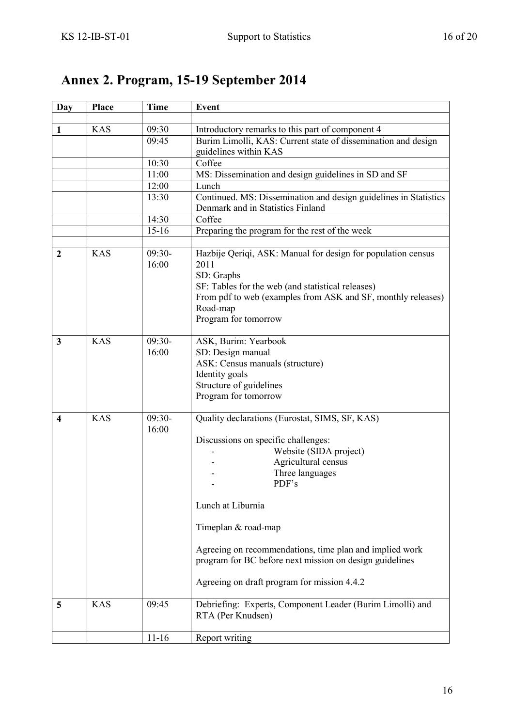# <span id="page-15-0"></span>**Annex 2. Program, 15-19 September 2014**

| Day                     | <b>Place</b> | <b>Time</b> | <b>Event</b>                                                     |
|-------------------------|--------------|-------------|------------------------------------------------------------------|
|                         |              |             |                                                                  |
| 1                       | <b>KAS</b>   | 09:30       | Introductory remarks to this part of component 4                 |
|                         |              | 09:45       | Burim Limolli, KAS: Current state of dissemination and design    |
|                         |              |             | guidelines within KAS                                            |
|                         |              | 10:30       | Coffee                                                           |
|                         |              | 11:00       | MS: Dissemination and design guidelines in SD and SF             |
|                         |              | 12:00       | Lunch                                                            |
|                         |              | 13:30       | Continued. MS: Dissemination and design guidelines in Statistics |
|                         |              |             | Denmark and in Statistics Finland                                |
|                         |              | 14:30       | Coffee                                                           |
|                         |              | $15-16$     | Preparing the program for the rest of the week                   |
|                         |              |             |                                                                  |
| $\boldsymbol{2}$        | <b>KAS</b>   | $09:30-$    | Hazbije Qeriqi, ASK: Manual for design for population census     |
|                         |              | 16:00       | 2011                                                             |
|                         |              |             | SD: Graphs                                                       |
|                         |              |             | SF: Tables for the web (and statistical releases)                |
|                         |              |             | From pdf to web (examples from ASK and SF, monthly releases)     |
|                         |              |             | Road-map                                                         |
|                         |              |             | Program for tomorrow                                             |
| $\mathbf{3}$            | <b>KAS</b>   | $09:30-$    | ASK, Burim: Yearbook                                             |
|                         |              | 16:00       | SD: Design manual                                                |
|                         |              |             | ASK: Census manuals (structure)                                  |
|                         |              |             | Identity goals                                                   |
|                         |              |             | Structure of guidelines                                          |
|                         |              |             | Program for tomorrow                                             |
|                         |              |             |                                                                  |
| $\overline{\mathbf{4}}$ | <b>KAS</b>   | $09:30-$    | Quality declarations (Eurostat, SIMS, SF, KAS)                   |
|                         |              | 16:00       |                                                                  |
|                         |              |             | Discussions on specific challenges:                              |
|                         |              |             | Website (SIDA project)                                           |
|                         |              |             | Agricultural census                                              |
|                         |              |             | Three languages                                                  |
|                         |              |             | PDF's                                                            |
|                         |              |             | Lunch at Liburnia                                                |
|                         |              |             |                                                                  |
|                         |              |             | Timeplan & road-map                                              |
|                         |              |             |                                                                  |
|                         |              |             | Agreeing on recommendations, time plan and implied work          |
|                         |              |             | program for BC before next mission on design guidelines          |
|                         |              |             |                                                                  |
|                         |              |             | Agreeing on draft program for mission 4.4.2                      |
|                         |              |             |                                                                  |
| 5                       | <b>KAS</b>   | 09:45       | Debriefing: Experts, Component Leader (Burim Limolli) and        |
|                         |              |             | RTA (Per Knudsen)                                                |
|                         |              |             |                                                                  |
|                         |              | $11 - 16$   | Report writing                                                   |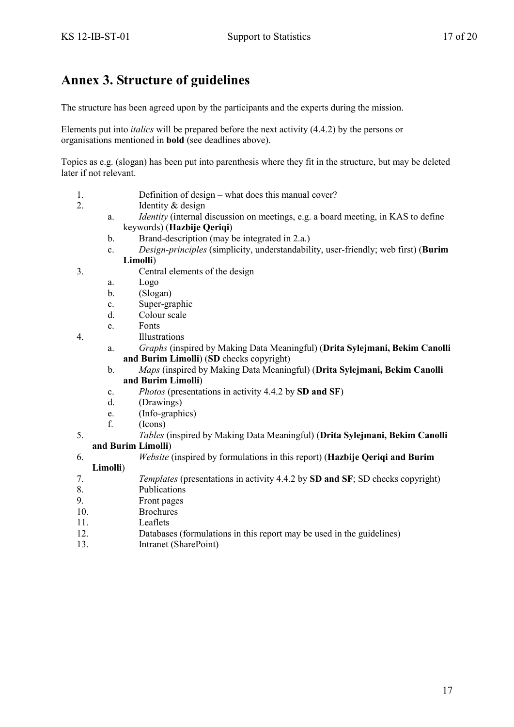# <span id="page-16-0"></span>**Annex 3. Structure of guidelines**

The structure has been agreed upon by the participants and the experts during the mission.

Elements put into *italics* will be prepared before the next activity (4.4.2) by the persons or organisations mentioned in **bold** (see deadlines above).

Topics as e.g. (slogan) has been put into parenthesis where they fit in the structure, but may be deleted later if not relevant.

- 1. Definition of design what does this manual cover?
- 2. Identity & design
	- a. *Identity* (internal discussion on meetings, e.g. a board meeting, in KAS to define keywords) (**Hazbije Qeriqi**)
	- b. Brand-description (may be integrated in 2.a.)
	- c. *Design-principles* (simplicity, understandability, user-friendly; web first) (**Burim Limolli**)
- 3. Central elements of the design
	- a. Logo
	- b. (Slogan)
	- c. Super-graphic
	- d. Colour scale
	- e. Fonts
- 4. Illustrations
	- a. *Graphs* (inspired by Making Data Meaningful) (**Drita Sylejmani, Bekim Canolli and Burim Limolli**) (**SD** checks copyright)
	- b. *Maps* (inspired by Making Data Meaningful) (**Drita Sylejmani, Bekim Canolli and Burim Limolli**)
	- c. *Photos* (presentations in activity 4.4.2 by **SD and SF**)
	- d. (Drawings)
	- e. (Info-graphics)
	- f. (Icons)
- 5. *Tables* (inspired by Making Data Meaningful) (**Drita Sylejmani, Bekim Canolli**

#### **and Burim Limolli**)

6. *Website* (inspired by formulations in this report) (**Hazbije Qeriqi and Burim** 

#### **Limolli**)

- 7. *Templates* (presentations in activity 4.4.2 by **SD and SF**; SD checks copyright)
- 8. Publications
- 9. Front pages
- 10. Brochures
- 11. Leaflets
- 12. Databases (formulations in this report may be used in the guidelines)
- 13. Intranet (SharePoint)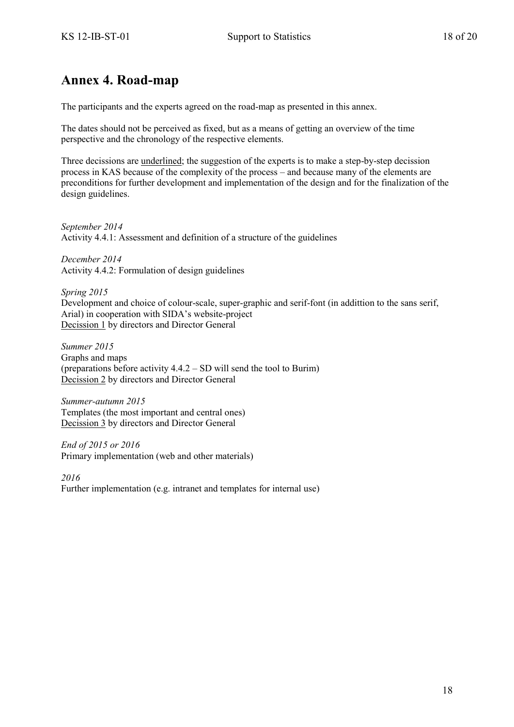## <span id="page-17-0"></span>**Annex 4. Road-map**

The participants and the experts agreed on the road-map as presented in this annex.

The dates should not be perceived as fixed, but as a means of getting an overview of the time perspective and the chronology of the respective elements.

Three decissions are underlined; the suggestion of the experts is to make a step-by-step decission process in KAS because of the complexity of the process – and because many of the elements are preconditions for further development and implementation of the design and for the finalization of the design guidelines.

*September 2014* Activity 4.4.1: Assessment and definition of a structure of the guidelines

*December 2014* Activity 4.4.2: Formulation of design guidelines

*Spring 2015* Development and choice of colour-scale, super-graphic and serif-font (in addittion to the sans serif, Arial) in cooperation with SIDA's website-project Decission 1 by directors and Director General

*Summer 2015*  Graphs and maps (preparations before activity 4.4.2 – SD will send the tool to Burim) Decission 2 by directors and Director General

*Summer-autumn 2015* Templates (the most important and central ones) Decission 3 by directors and Director General

*End of 2015 or 2016* Primary implementation (web and other materials)

*2016* Further implementation (e.g. intranet and templates for internal use)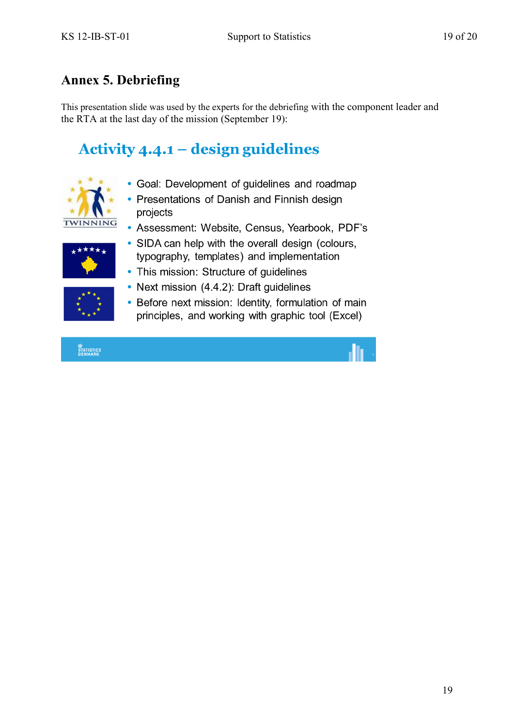# <span id="page-18-0"></span>**Annex 5. Debriefing**

This presentation slide was used by the experts for the debriefing with the component leader and the RTA at the last day of the mission (September 19):

# Activity  $4.4.1$  – design guidelines



- Goal: Development of guidelines and roadmap
- Presentations of Danish and Finnish design projects
- Assessment: Website, Census, Yearbook, PDF's



- SIDA can help with the overall design (colours, typography, templates) and implementation
- 
- This mission: Structure of quidelines
- Next mission (4.4.2): Draft guidelines • Before next mission: Identity, formulation of main principles, and working with graphic tool (Excel)
- 

STATISTICS<br>DENMARK